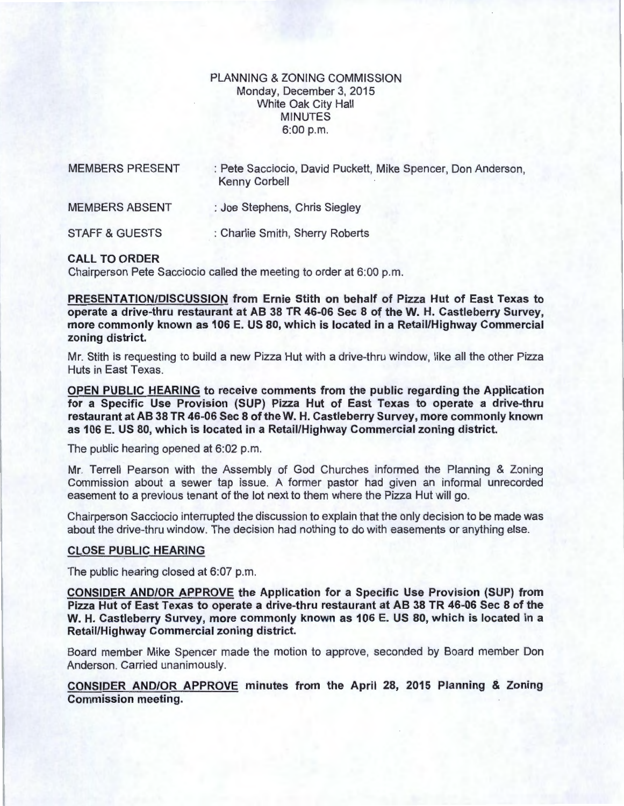## PLANNING & ZONING COMMISSION Monday, December 3, 2015 White Oak City Hall MINUTES 6:00 p.m.

| <b>MEMBERS PRESENT</b><br><b>MEMBERS ABSENT</b> | : Pete Sacciocio, David Puckett, Mike Spencer, Don Anderson,<br><b>Kenny Corbell</b><br>: Joe Stephens, Chris Siegley |
|-------------------------------------------------|-----------------------------------------------------------------------------------------------------------------------|
|                                                 |                                                                                                                       |

## CALL TO ORDER

Chairperson Pete Sacciocio called the meeting to order at 6:00 p.m.

PRESENTATION/DISCUSSION from Ernie Stith on behalf of Pizza Hut of East Texas to operate a drive-thru restaurant at AB 38 TR 46-06 Sec 8 of theW. H. Castleberry Survey, more commonly known as 106 E. US 80, which is located in a Retail/Highway Commercial zoning district.

Mr. Stith is requesting to build a new Pizza Hut with a drive-thru window, like all the other Pizza Huts in East Texas.

OPEN PUBLIC HEARING to receive comments from the public regarding the Application for a Specific Use Provision (SUP) Pizza Hut of East Texas to operate a drive-thru restaurant at AB 38 TR 46-06 Sec 8 of theW. H. Castleberry Survey, more commonly known as 106 E. US 80, which is located in a Retail/Highway Commercial zoning district.

The public hearing opened at 6:02 p.m.

Mr. Terrell Pearson with the Assembly of God Churches informed the Planning & Zoning Commission about a sewer tap issue. A former pastor had given an informal unrecorded easement to a previous tenant of the lot next to them where the Pizza Hut will go.

Chairperson Sacciocio interrupted the discussion to explain that the only decision to be made was about the drive-thru window. The decision had nothing to do with easements or anything else.

## CLOSE PUBLIC HEARING

The public hearing closed at 6:07 p.m.

CONSIDER AND/OR APPROVE the Application for a Specific Use Provision (SUP) from Pizza Hut of East Texas to operate a drive-thru restaurant at AB 38 TR 46-06 Sec 8 of the W. H. Castleberry Survey, more commonly known as 106 E. US 80, which is located in a Retail/Highway Commercial zoning district.

Board member Mike Spencer made the motion to approve, seconded by Board member Don Anderson. Carried unanimously.

CONSIDER AND/OR APPROVE minutes from the April 28, 2015 Planning & Zoning Commission meeting.